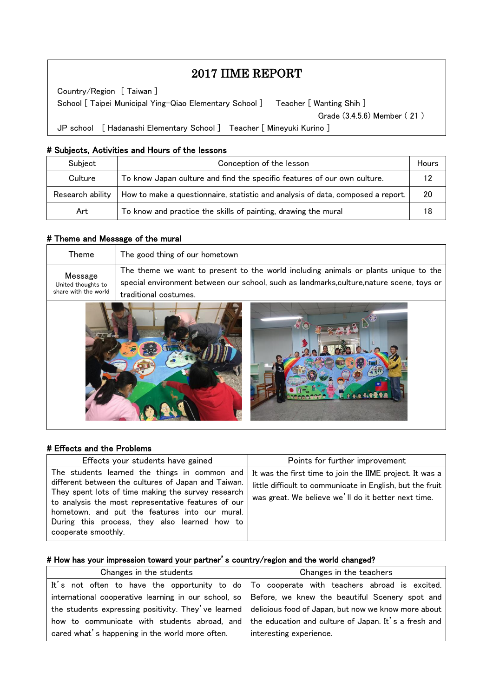# 2017 IIME REPORT

 School [ Taipei Municipal Ying-Qiao Elementary School ] Teacher [ Wanting Shih ] Country/Region [ Taiwan ] Grade (3.4.5.6) Member ( 21 ) JP school [ Hadanashi Elementary School ] Teacher [ Mineyuki Kurino ]

### # Subjects, Activities and Hours of the lessons

| Subject          | Conception of the lesson                                                        |    |
|------------------|---------------------------------------------------------------------------------|----|
| Culture          | To know Japan culture and find the specific features of our own culture.        | 19 |
| Research ability | How to make a questionnaire, statistic and analysis of data, composed a report. | 20 |
| Art              | To know and practice the skills of painting, drawing the mural                  | 18 |

#### # Theme and Message of the mural

 $\overline{\phantom{a}}$  $\overline{\phantom{a}}$  $\overline{\phantom{a}}$ 

 $\overline{\phantom{a}}$  $\overline{\phantom{a}}$ Ļ

| Theme                                                 | The good thing of our hometown                                                                                                                                                                            |
|-------------------------------------------------------|-----------------------------------------------------------------------------------------------------------------------------------------------------------------------------------------------------------|
| Message<br>United thoughts to<br>share with the world | The theme we want to present to the world including animals or plants unique to the<br>special environment between our school, such as landmarks, culture, nature scene, toys or<br>traditional costumes. |
|                                                       | 888989                                                                                                                                                                                                    |

#### # Effects and the Problems

| Effects your students have gained                                                                                                                                                                                                                                                                                                           | Points for further improvement                                                                                                                                               |
|---------------------------------------------------------------------------------------------------------------------------------------------------------------------------------------------------------------------------------------------------------------------------------------------------------------------------------------------|------------------------------------------------------------------------------------------------------------------------------------------------------------------------------|
| The students learned the things in common and<br>different between the cultures of Japan and Taiwan.<br>They spent lots of time making the survey research<br>to analysis the most representative features of our<br>hometown, and put the features into our mural.<br>During this process, they also learned how to<br>cooperate smoothly. | It was the first time to join the IIME project. It was a<br>little difficult to communicate in English, but the fruit<br>was great. We believe we'll do it better next time. |

#### # How has your impression toward your partner's country/region and the world changed?

| Changes in the students                         | Changes in the teachers                                                                                  |  |
|-------------------------------------------------|----------------------------------------------------------------------------------------------------------|--|
|                                                 | It's not often to have the opportunity to do   To cooperate with teachers abroad is excited.             |  |
|                                                 | international cooperative learning in our school, so   Before, we knew the beautiful Scenery spot and    |  |
|                                                 | the students expressing positivity. They' ve learned delicious food of Japan, but now we know more about |  |
|                                                 | how to communicate with students abroad, and   the education and culture of Japan. It's a fresh and      |  |
| cared what's happening in the world more often. | interesting experience.                                                                                  |  |